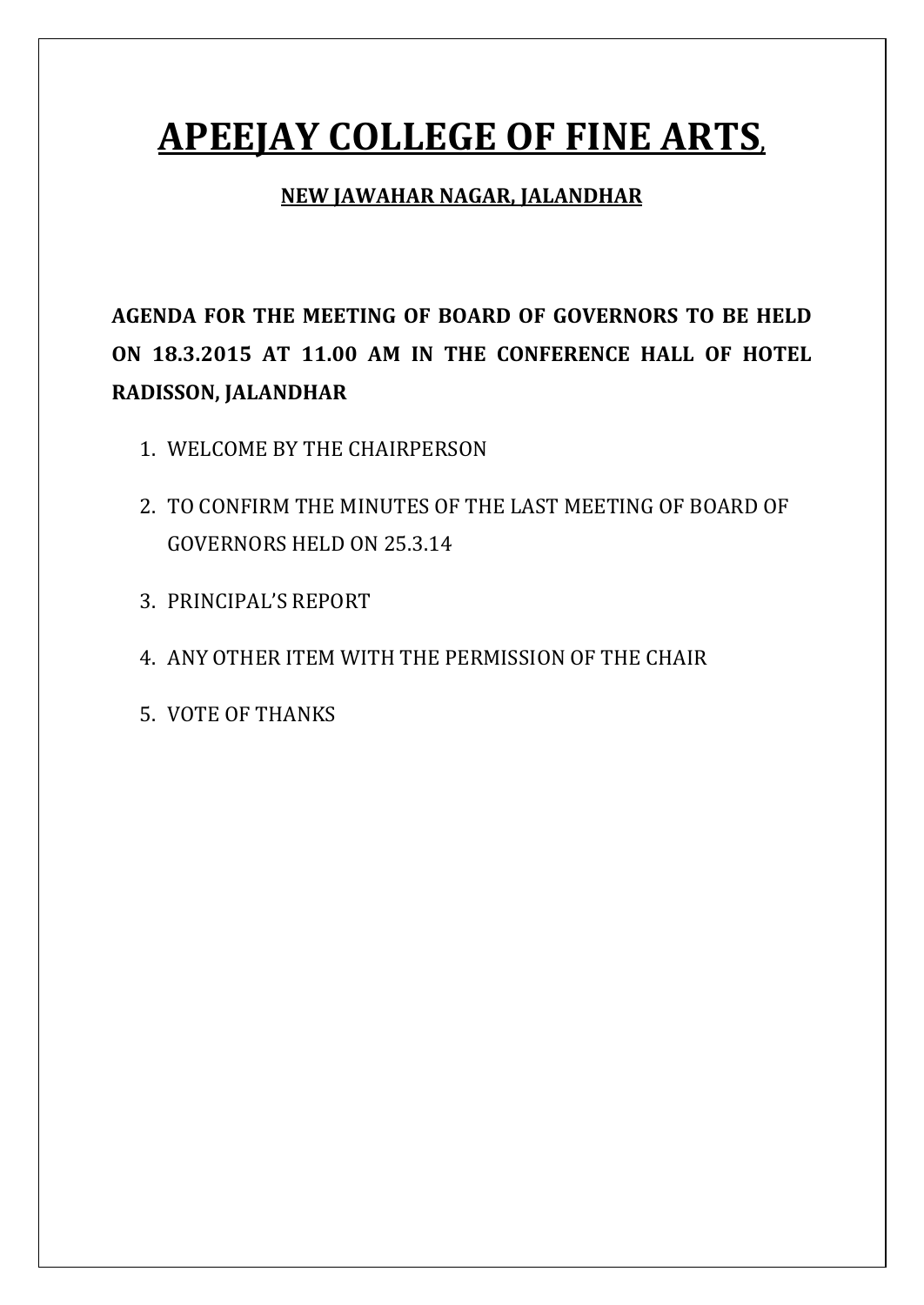# **APEEJAY COLLEGE OF FINE ARTS,**

#### **NEW JAWAHAR NAGAR, JALANDHAR**

**AGENDA FOR THE MEETING OF BOARD OF GOVERNORS TO BE HELD ON 18.3.2015 AT 11.00 AM IN THE CONFERENCE HALL OF HOTEL RADISSON, JALANDHAR**

- 1. WELCOME BY THE CHAIRPERSON
- 2. TO CONFIRM THE MINUTES OF THE LAST MEETING OF BOARD OF GOVERNORS HELD ON 25.3.14
- 3. PRINCIPAL'S REPORT
- 4. ANY OTHER ITEM WITH THE PERMISSION OF THE CHAIR
- 5. VOTE OF THANKS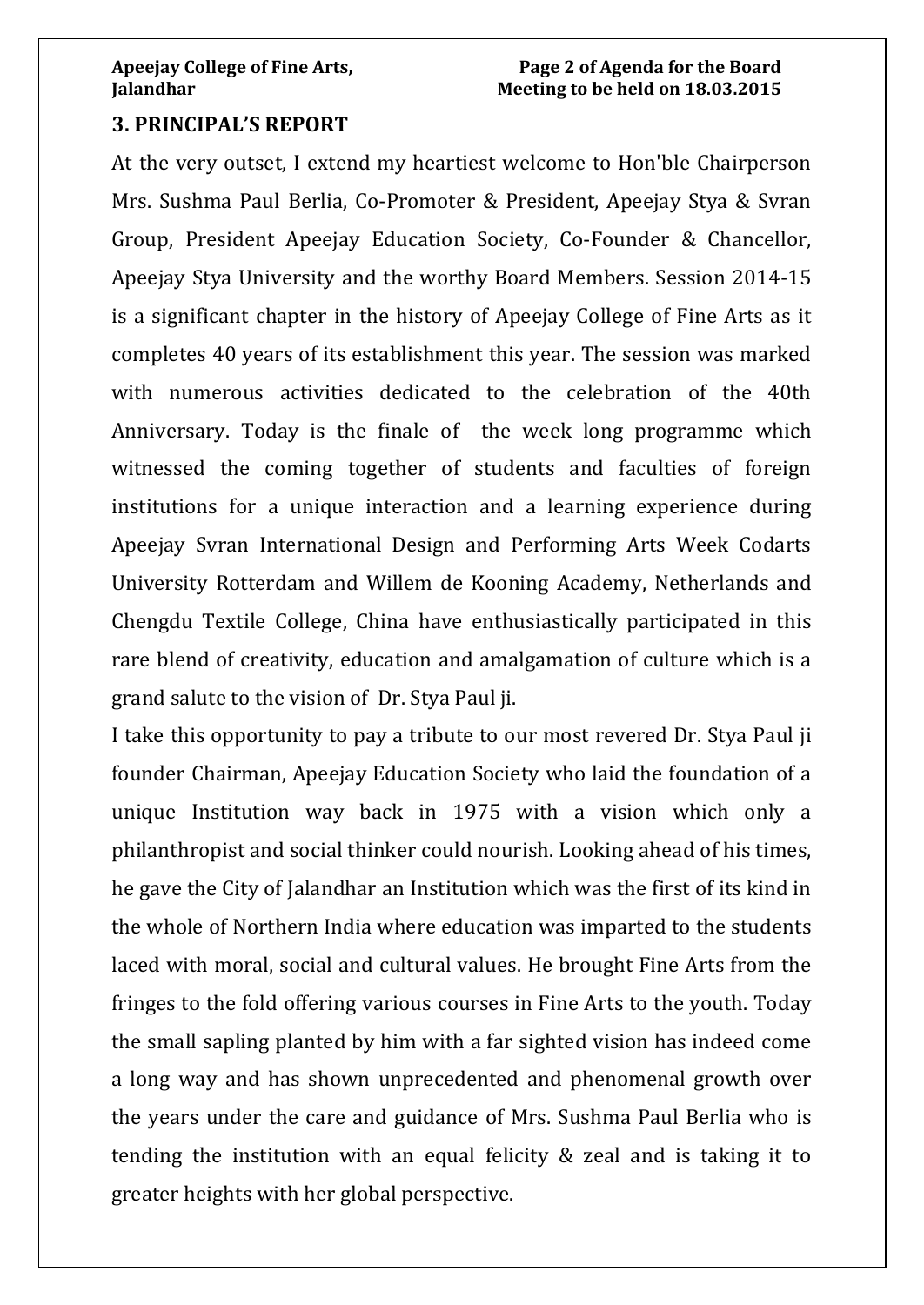#### **3. PRINCIPAL'S REPORT**

At the very outset, I extend my heartiest welcome to Hon'ble Chairperson Mrs. Sushma Paul Berlia, Co-Promoter & President, Apeejay Stya & Svran Group, President Apeejay Education Society, Co-Founder & Chancellor, Apeejay Stya University and the worthy Board Members. Session 2014-15 is a significant chapter in the history of Apeejay College of Fine Arts as it completes 40 years of its establishment this year. The session was marked with numerous activities dedicated to the celebration of the 40th Anniversary. Today is the finale of the week long programme which witnessed the coming together of students and faculties of foreign institutions for a unique interaction and a learning experience during Apeejay Svran International Design and Performing Arts Week Codarts University Rotterdam and Willem de Kooning Academy, Netherlands and Chengdu Textile College, China have enthusiastically participated in this rare blend of creativity, education and amalgamation of culture which is a grand salute to the vision of Dr. Stya Paul ji.

I take this opportunity to pay a tribute to our most revered Dr. Stya Paul ji founder Chairman, Apeejay Education Society who laid the foundation of a unique Institution way back in 1975 with a vision which only a philanthropist and social thinker could nourish. Looking ahead of his times, he gave the City of Jalandhar an Institution which was the first of its kind in the whole of Northern India where education was imparted to the students laced with moral, social and cultural values. He brought Fine Arts from the fringes to the fold offering various courses in Fine Arts to the youth. Today the small sapling planted by him with a far sighted vision has indeed come a long way and has shown unprecedented and phenomenal growth over the years under the care and guidance of Mrs. Sushma Paul Berlia who is tending the institution with an equal felicity & zeal and is taking it to greater heights with her global perspective.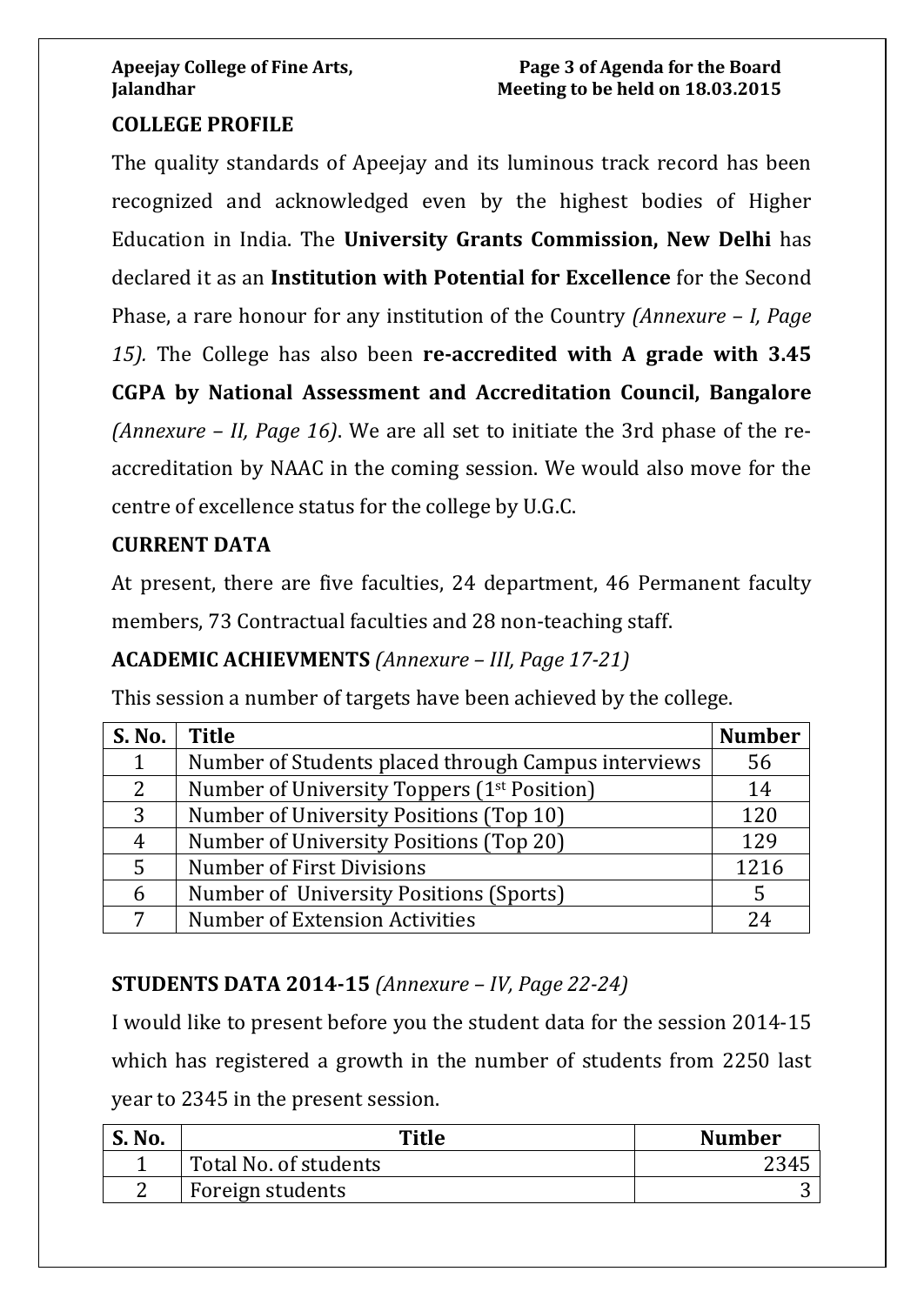#### **COLLEGE PROFILE**

The quality standards of Apeejay and its luminous track record has been recognized and acknowledged even by the highest bodies of Higher Education in India. The **University Grants Commission, New Delhi** has declared it as an **Institution with Potential for Excellence** for the Second Phase, a rare honour for any institution of the Country *(Annexure – I, Page 15).* The College has also been **re-accredited with A grade with 3.45 CGPA by National Assessment and Accreditation Council, Bangalore** *(Annexure – II, Page 16)*. We are all set to initiate the 3rd phase of the reaccreditation by NAAC in the coming session. We would also move for the centre of excellence status for the college by U.G.C.

#### **CURRENT DATA**

At present, there are five faculties, 24 department, 46 Permanent faculty members, 73 Contractual faculties and 28 non-teaching staff.

#### **ACADEMIC ACHIEVMENTS** *(Annexure – III, Page 17-21)*

This session a number of targets have been achieved by the college.

| <b>S. No.</b> | <b>Title</b>                                            | <b>Number</b> |
|---------------|---------------------------------------------------------|---------------|
|               | Number of Students placed through Campus interviews     | 56            |
| 2             | Number of University Toppers (1 <sup>st</sup> Position) | 14            |
| 3             | Number of University Positions (Top 10)                 | 120           |
| 4             | Number of University Positions (Top 20)                 | 129           |
| 5             | Number of First Divisions                               | 1216          |
| 6             | Number of University Positions (Sports)                 |               |
|               | <b>Number of Extension Activities</b>                   | 74            |

### **STUDENTS DATA 2014-15** *(Annexure – IV, Page 22-24)*

I would like to present before you the student data for the session 2014-15 which has registered a growth in the number of students from 2250 last year to 2345 in the present session.

| <b>S. No.</b> | Title                 | <b>Number</b> |
|---------------|-----------------------|---------------|
|               | Total No. of students |               |
| ⌒             | Foreign students      |               |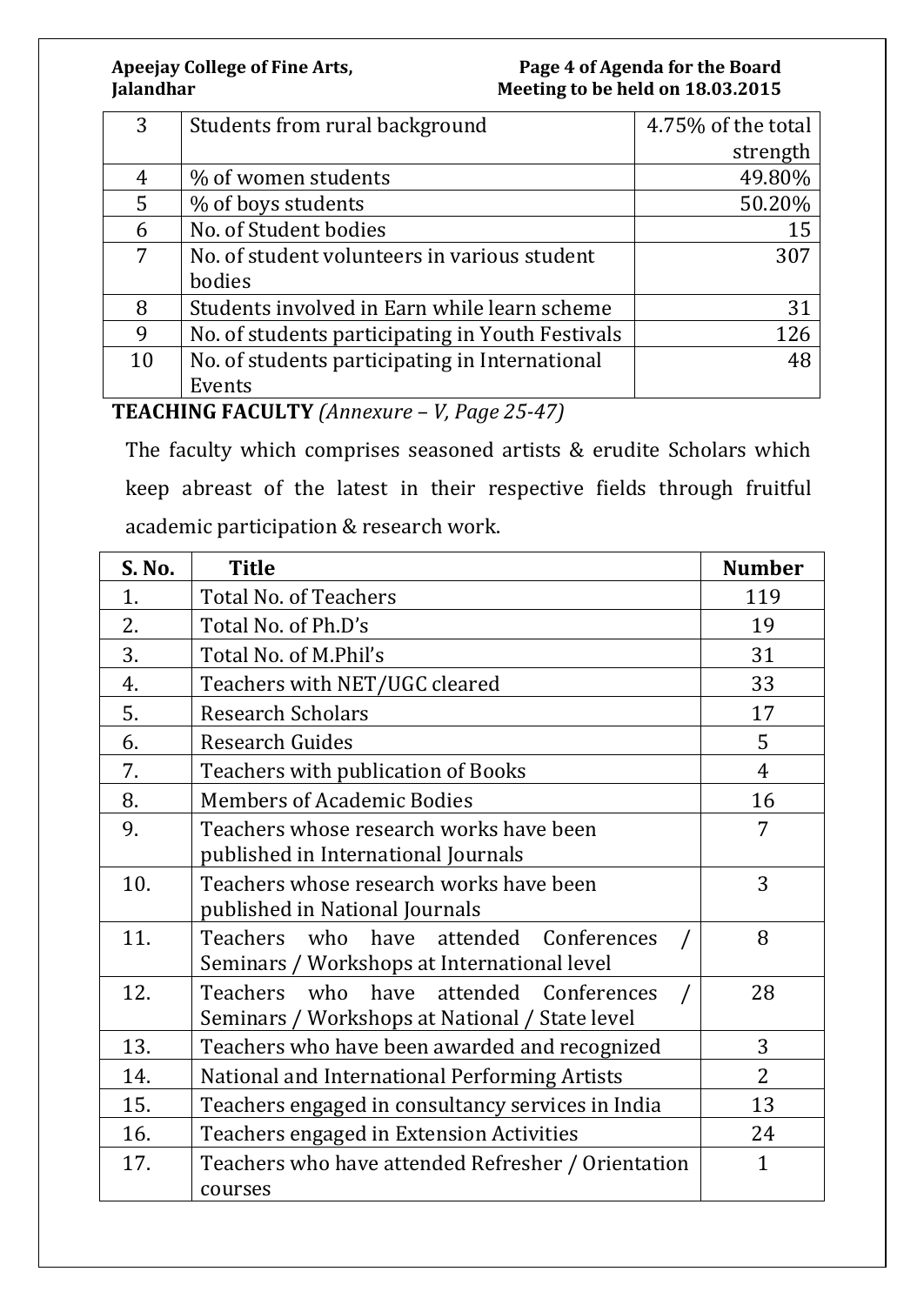#### **Apeejay College of Fine Arts, Page 4 of Agenda for the Board**  Meeting to be held on 18.03.2015

| 3  | Students from rural background                   | 4.75% of the total |
|----|--------------------------------------------------|--------------------|
|    |                                                  | strength           |
| 4  | % of women students                              | 49.80%             |
| 5  | % of boys students                               | 50.20%             |
| 6  | No. of Student bodies                            | 15                 |
| 7  | No. of student volunteers in various student     | 307                |
|    | bodies                                           |                    |
| 8  | Students involved in Earn while learn scheme     | 31                 |
| 9  | No. of students participating in Youth Festivals | 126                |
| 10 | No. of students participating in International   | 48                 |
|    | Events                                           |                    |

### **TEACHING FACULTY** *(Annexure – V, Page 25-47)*

The faculty which comprises seasoned artists & erudite Scholars which keep abreast of the latest in their respective fields through fruitful academic participation & research work.

| S. No. | <b>Title</b>                                       | <b>Number</b>  |
|--------|----------------------------------------------------|----------------|
| 1.     | <b>Total No. of Teachers</b>                       | 119            |
| 2.     | Total No. of Ph.D's                                | 19             |
| 3.     | Total No. of M.Phil's                              | 31             |
| 4.     | Teachers with NET/UGC cleared                      | 33             |
| 5.     | <b>Research Scholars</b>                           | 17             |
| 6.     | <b>Research Guides</b>                             | 5              |
| 7.     | Teachers with publication of Books                 | $\overline{4}$ |
| 8.     | <b>Members of Academic Bodies</b>                  | 16             |
| 9.     | Teachers whose research works have been            | 7              |
|        | published in International Journals                |                |
| 10.    | Teachers whose research works have been            | 3              |
|        | published in National Journals                     |                |
| 11.    | Teachers who<br>have attended<br>Conferences       | 8              |
|        | Seminars / Workshops at International level        |                |
| 12.    | Teachers who have attended Conferences             | 28             |
|        | Seminars / Workshops at National / State level     |                |
| 13.    | Teachers who have been awarded and recognized      | 3              |
| 14.    | National and International Performing Artists      | 2              |
| 15.    | Teachers engaged in consultancy services in India  | 13             |
| 16.    | Teachers engaged in Extension Activities           | 24             |
| 17.    | Teachers who have attended Refresher / Orientation | $\mathbf{1}$   |
|        | courses                                            |                |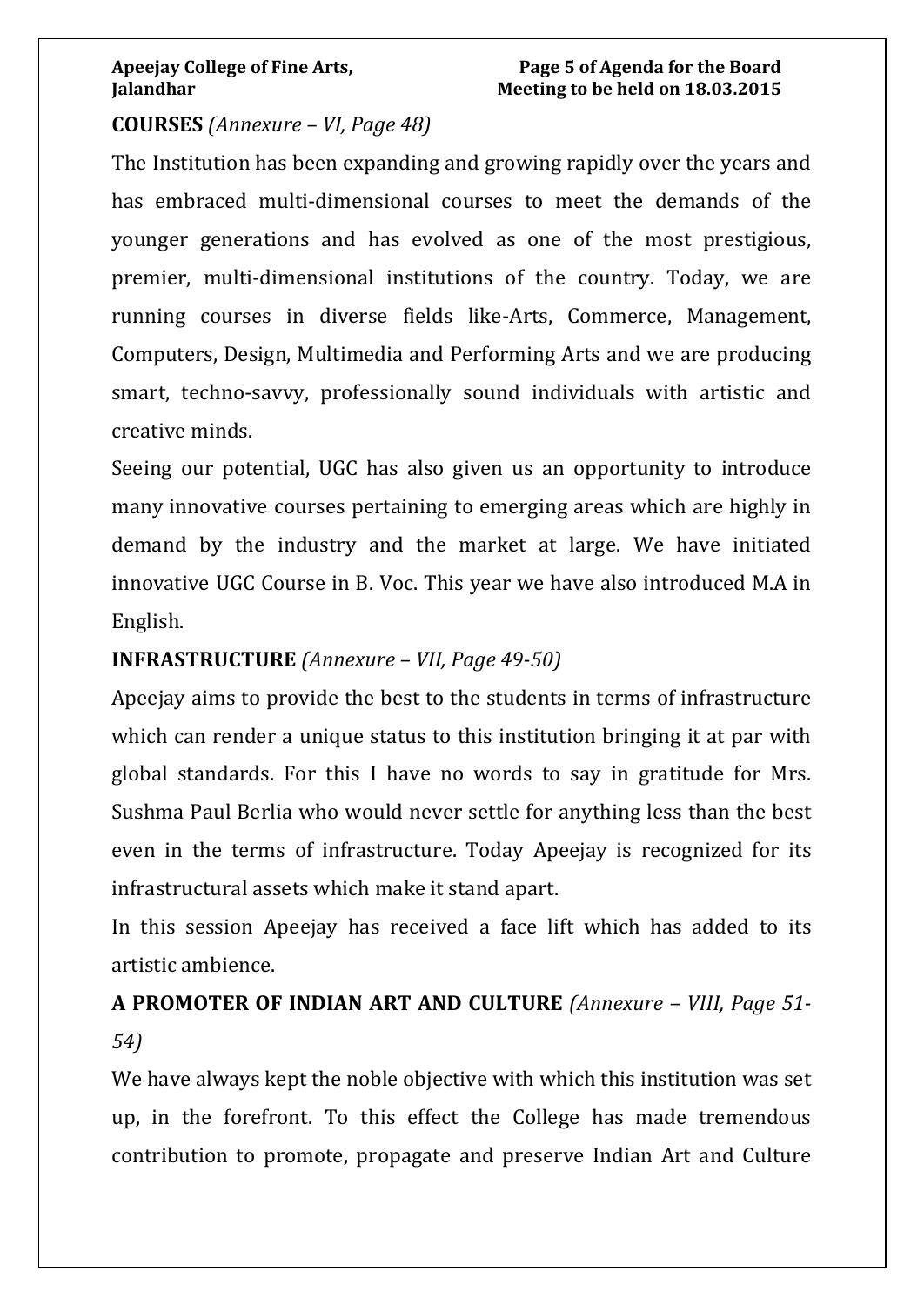#### **COURSES** *(Annexure – VI, Page 48)*

The Institution has been expanding and growing rapidly over the years and has embraced multi-dimensional courses to meet the demands of the younger generations and has evolved as one of the most prestigious, premier, multi-dimensional institutions of the country. Today, we are running courses in diverse fields like-Arts, Commerce, Management, Computers, Design, Multimedia and Performing Arts and we are producing smart, techno-savvy, professionally sound individuals with artistic and creative minds.

Seeing our potential, UGC has also given us an opportunity to introduce many innovative courses pertaining to emerging areas which are highly in demand by the industry and the market at large. We have initiated innovative UGC Course in B. Voc. This year we have also introduced M.A in English.

#### **INFRASTRUCTURE** *(Annexure – VII, Page 49-50)*

Apeejay aims to provide the best to the students in terms of infrastructure which can render a unique status to this institution bringing it at par with global standards. For this I have no words to say in gratitude for Mrs. Sushma Paul Berlia who would never settle for anything less than the best even in the terms of infrastructure. Today Apeejay is recognized for its infrastructural assets which make it stand apart.

In this session Apeejay has received a face lift which has added to its artistic ambience.

# **A PROMOTER OF INDIAN ART AND CULTURE** *(Annexure – VIII, Page 51- 54)*

We have always kept the noble objective with which this institution was set up, in the forefront. To this effect the College has made tremendous contribution to promote, propagate and preserve Indian Art and Culture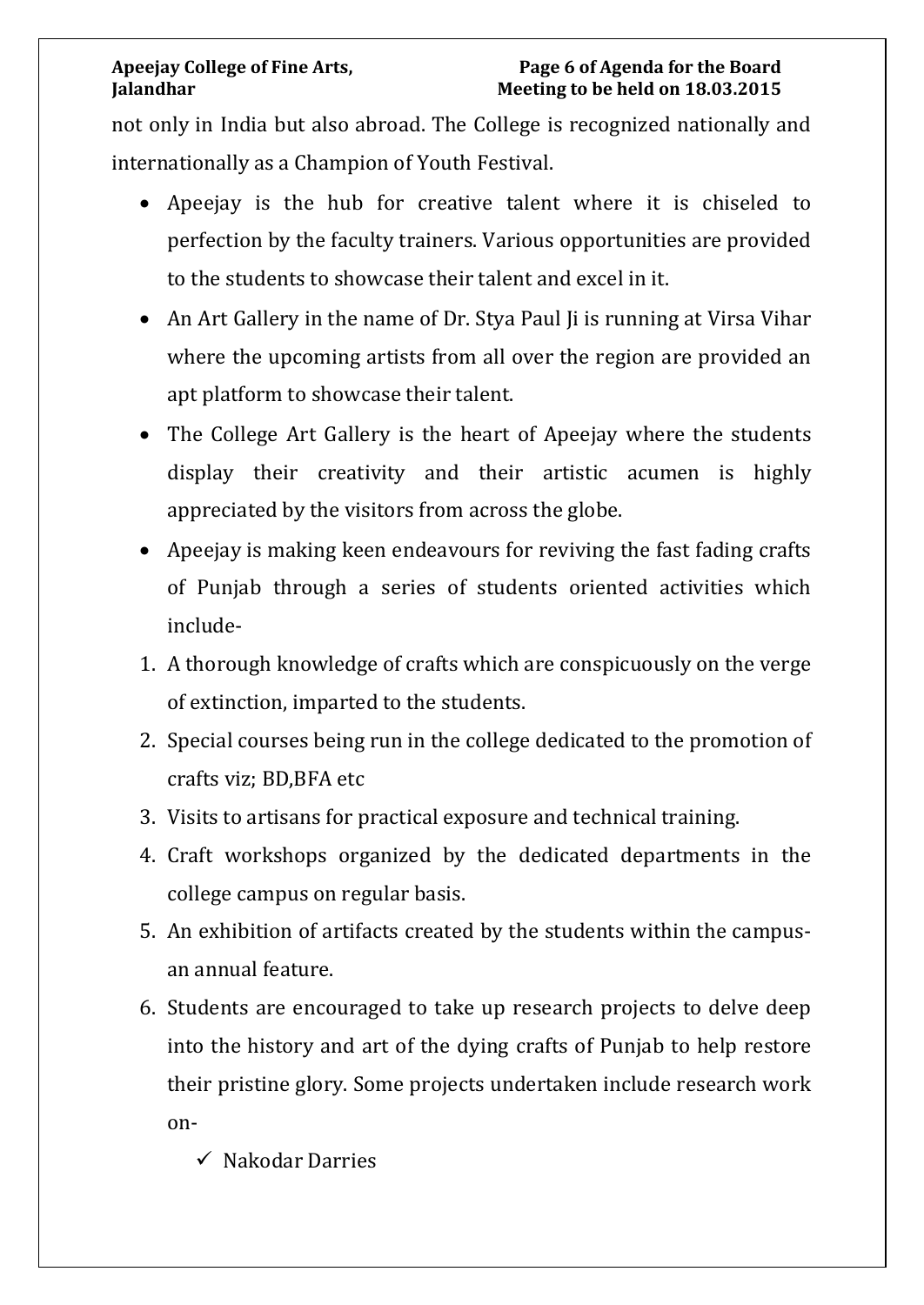not only in India but also abroad. The College is recognized nationally and internationally as a Champion of Youth Festival.

- Apeejay is the hub for creative talent where it is chiseled to perfection by the faculty trainers. Various opportunities are provided to the students to showcase their talent and excel in it.
- An Art Gallery in the name of Dr. Stya Paul Ii is running at Virsa Vihar where the upcoming artists from all over the region are provided an apt platform to showcase their talent.
- The College Art Gallery is the heart of Apeejay where the students display their creativity and their artistic acumen is highly appreciated by the visitors from across the globe.
- Apeejay is making keen endeavours for reviving the fast fading crafts of Punjab through a series of students oriented activities which include-
- 1. A thorough knowledge of crafts which are conspicuously on the verge of extinction, imparted to the students.
- 2. Special courses being run in the college dedicated to the promotion of crafts viz; BD,BFA etc
- 3. Visits to artisans for practical exposure and technical training.
- 4. Craft workshops organized by the dedicated departments in the college campus on regular basis.
- 5. An exhibition of artifacts created by the students within the campusan annual feature.
- 6. Students are encouraged to take up research projects to delve deep into the history and art of the dying crafts of Punjab to help restore their pristine glory. Some projects undertaken include research work on-
	- $\checkmark$  Nakodar Darries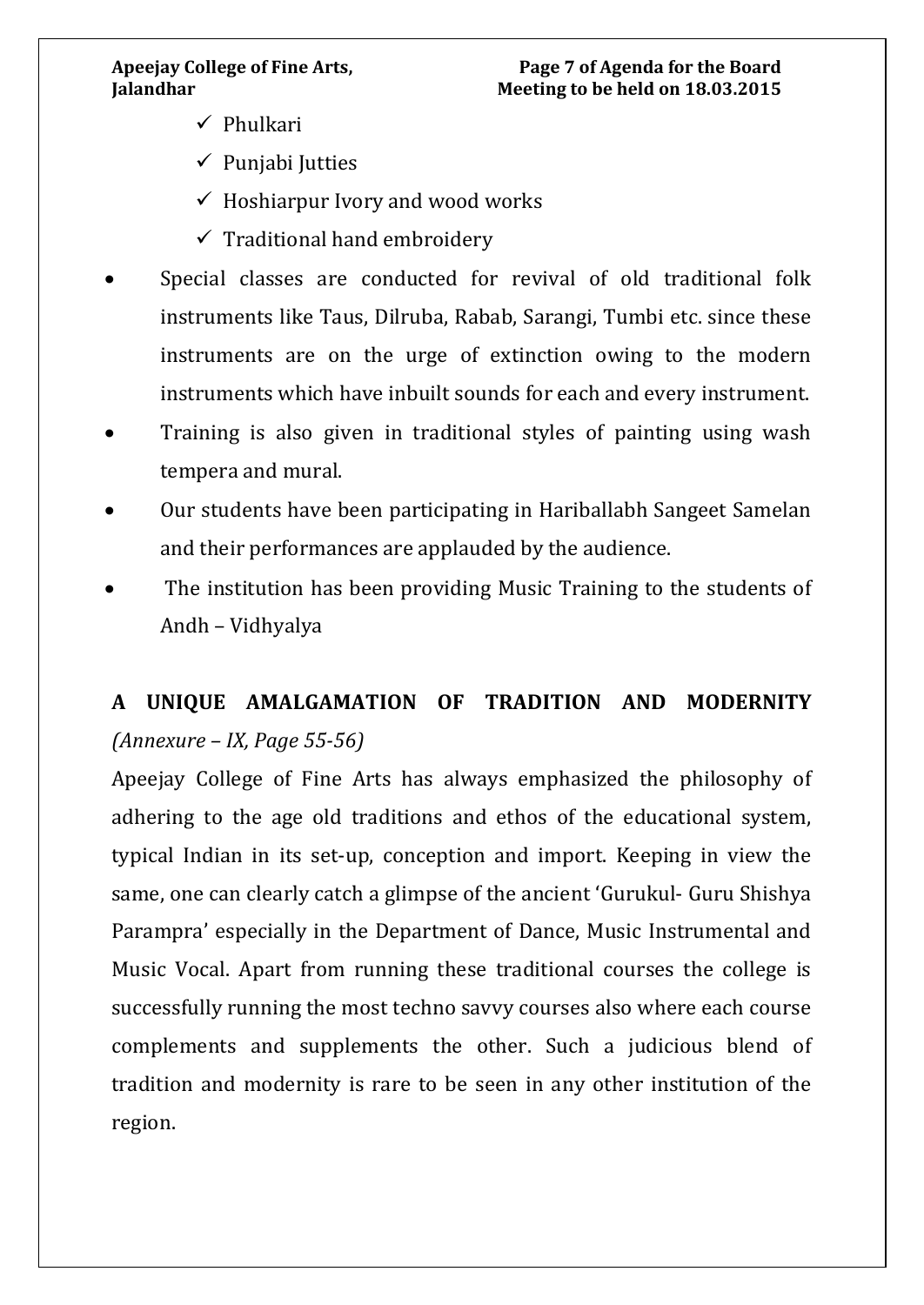- $\checkmark$  Phulkari
- $\checkmark$  Punjabi Jutties
- $\checkmark$  Hoshiarpur Ivory and wood works
- $\checkmark$  Traditional hand embroidery
- Special classes are conducted for revival of old traditional folk instruments like Taus, Dilruba, Rabab, Sarangi, Tumbi etc. since these instruments are on the urge of extinction owing to the modern instruments which have inbuilt sounds for each and every instrument.
- Training is also given in traditional styles of painting using wash tempera and mural.
- Our students have been participating in Hariballabh Sangeet Samelan and their performances are applauded by the audience.
- The institution has been providing Music Training to the students of Andh – Vidhyalya

# **A UNIQUE AMALGAMATION OF TRADITION AND MODERNITY**  *(Annexure – IX, Page 55-56)*

Apeejay College of Fine Arts has always emphasized the philosophy of adhering to the age old traditions and ethos of the educational system, typical Indian in its set-up, conception and import. Keeping in view the same, one can clearly catch a glimpse of the ancient 'Gurukul- Guru Shishya Parampra' especially in the Department of Dance, Music Instrumental and Music Vocal. Apart from running these traditional courses the college is successfully running the most techno savvy courses also where each course complements and supplements the other. Such a judicious blend of tradition and modernity is rare to be seen in any other institution of the region.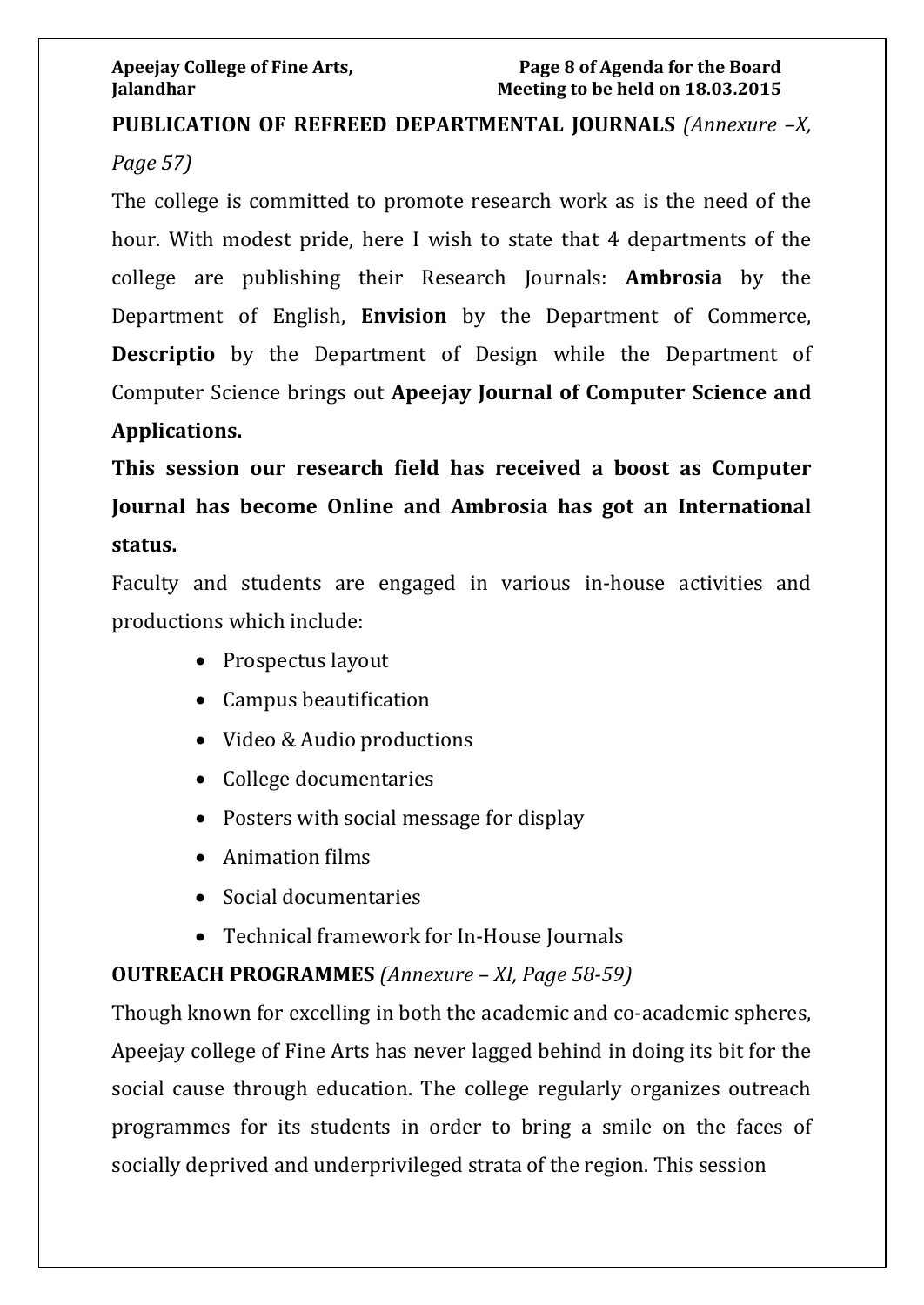# **PUBLICATION OF REFREED DEPARTMENTAL JOURNALS** *(Annexure –X, Page 57)*

The college is committed to promote research work as is the need of the hour. With modest pride, here I wish to state that 4 departments of the college are publishing their Research Journals: **Ambrosia** by the Department of English, **Envision** by the Department of Commerce, **Descriptio** by the Department of Design while the Department of Computer Science brings out **Apeejay Journal of Computer Science and** 

#### **Applications.**

**This session our research field has received a boost as Computer Journal has become Online and Ambrosia has got an International status.** 

Faculty and students are engaged in various in-house activities and productions which include:

- Prospectus layout
- Campus beautification
- Video & Audio productions
- College documentaries
- Posters with social message for display
- Animation films
- Social documentaries
- Technical framework for In-House Journals

# **OUTREACH PROGRAMMES** *(Annexure – XI, Page 58-59)*

Though known for excelling in both the academic and co-academic spheres, Apeejay college of Fine Arts has never lagged behind in doing its bit for the social cause through education. The college regularly organizes outreach programmes for its students in order to bring a smile on the faces of socially deprived and underprivileged strata of the region. This session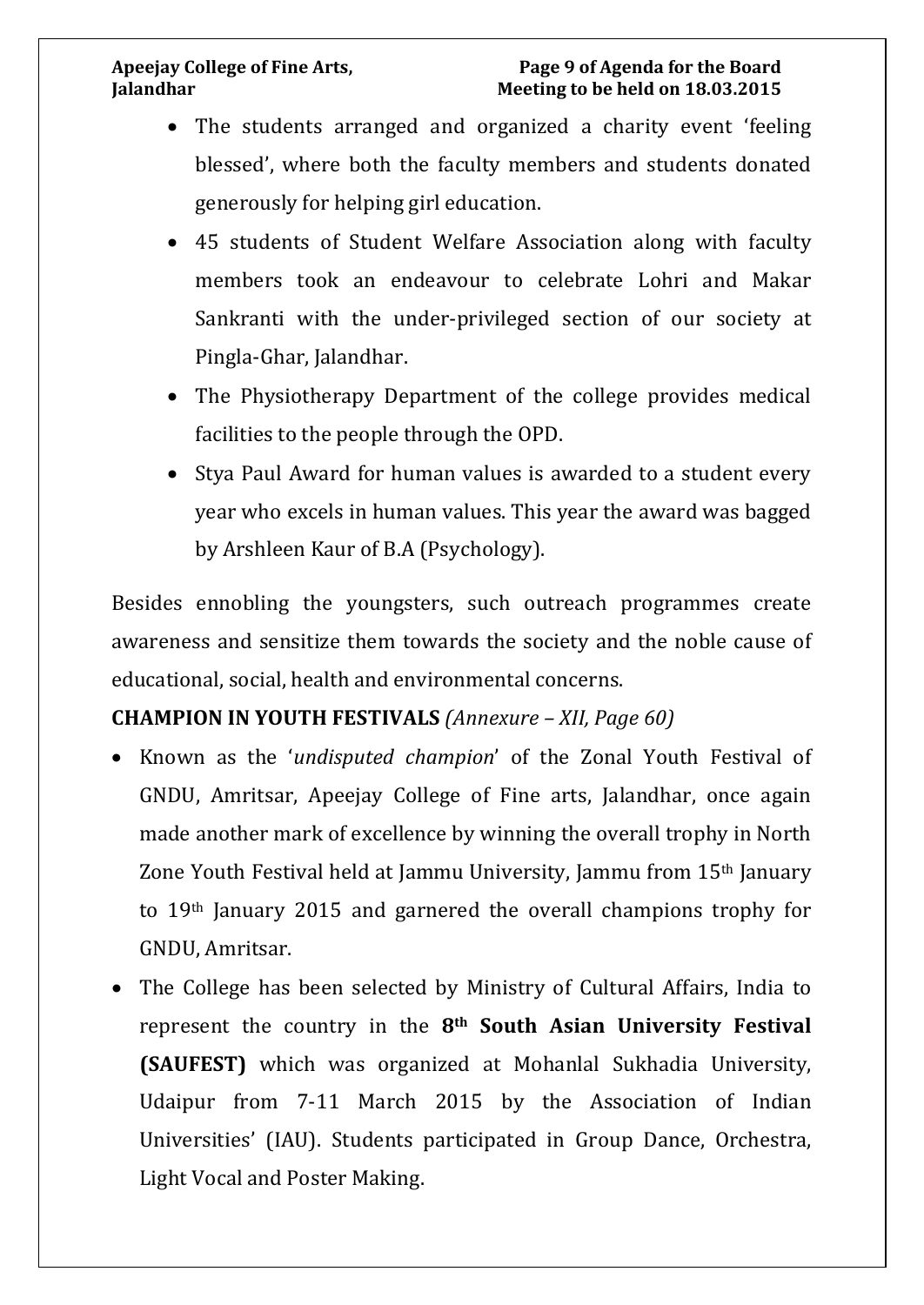#### **Apeejay College of Fine Arts, Page 9 of Agenda for the Board Jalandhar Meeting to be held on 18.03.2015**

- The students arranged and organized a charity event 'feeling' blessed', where both the faculty members and students donated generously for helping girl education.
- 45 students of Student Welfare Association along with faculty members took an endeavour to celebrate Lohri and Makar Sankranti with the under-privileged section of our society at Pingla-Ghar, Jalandhar.
- The Physiotherapy Department of the college provides medical facilities to the people through the OPD.
- Stya Paul Award for human values is awarded to a student every year who excels in human values. This year the award was bagged by Arshleen Kaur of B.A (Psychology).

Besides ennobling the youngsters, such outreach programmes create awareness and sensitize them towards the society and the noble cause of educational, social, health and environmental concerns.

### **CHAMPION IN YOUTH FESTIVALS** *(Annexure – XII, Page 60)*

- Known as the '*undisputed champion*' of the Zonal Youth Festival of GNDU, Amritsar, Apeejay College of Fine arts, Jalandhar, once again made another mark of excellence by winning the overall trophy in North Zone Youth Festival held at Jammu University, Jammu from 15th January to 19th January 2015 and garnered the overall champions trophy for GNDU, Amritsar.
- The College has been selected by Ministry of Cultural Affairs, India to represent the country in the **8th South Asian University Festival (SAUFEST)** which was organized at Mohanlal Sukhadia University, Udaipur from 7-11 March 2015 by the Association of Indian Universities' (IAU). Students participated in Group Dance, Orchestra, Light Vocal and Poster Making.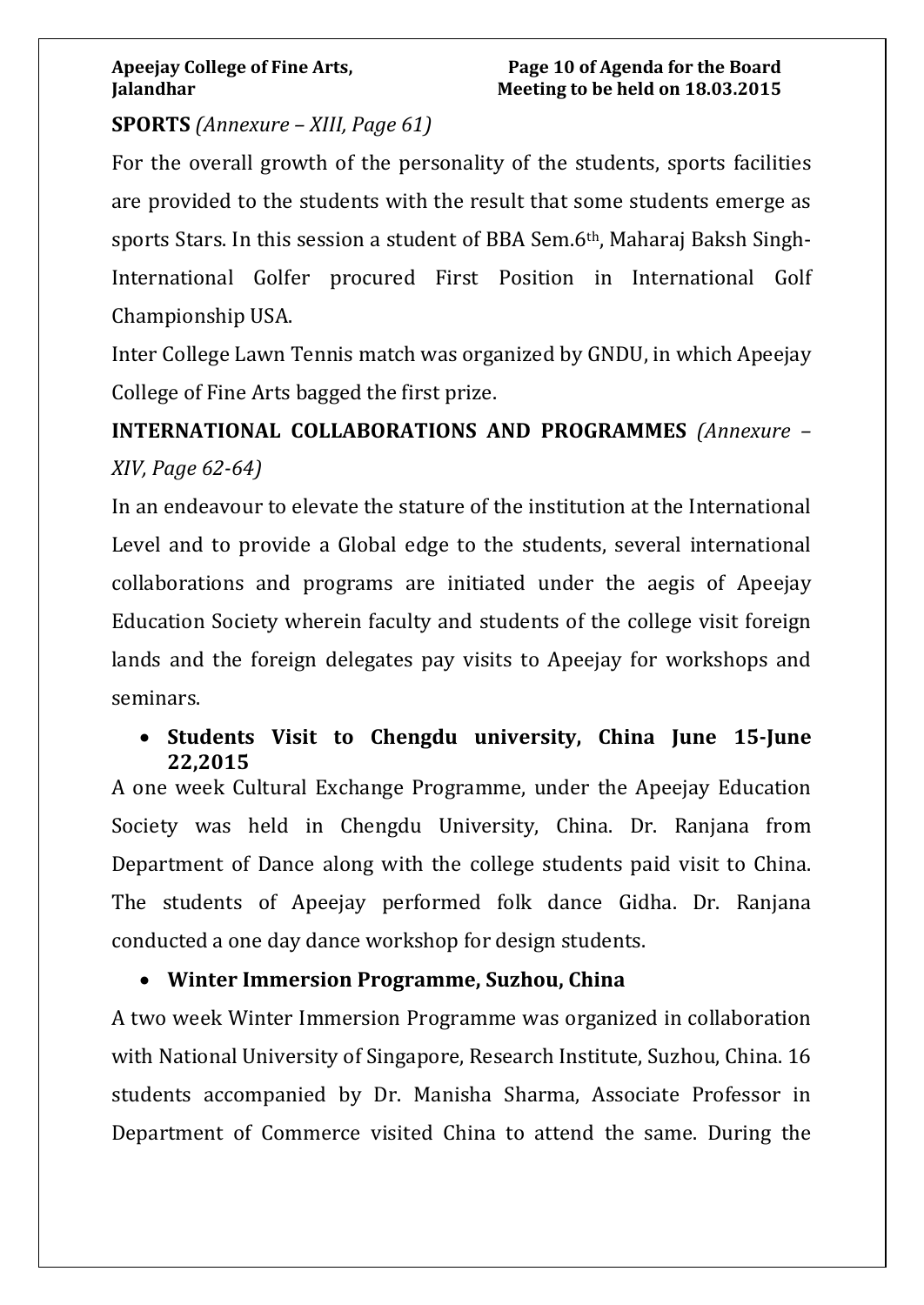### **SPORTS** *(Annexure – XIII, Page 61)*

For the overall growth of the personality of the students, sports facilities are provided to the students with the result that some students emerge as sports Stars. In this session a student of BBA Sem.6th, Maharaj Baksh Singh-International Golfer procured First Position in International Golf Championship USA.

Inter College Lawn Tennis match was organized by GNDU, in which Apeejay College of Fine Arts bagged the first prize.

**INTERNATIONAL COLLABORATIONS AND PROGRAMMES** *(Annexure – XIV, Page 62-64)*

In an endeavour to elevate the stature of the institution at the International Level and to provide a Global edge to the students, several international collaborations and programs are initiated under the aegis of Apeejay Education Society wherein faculty and students of the college visit foreign lands and the foreign delegates pay visits to Apeejay for workshops and seminars.

#### • **Students Visit to Chengdu university, China June 15-June 22,2015**

A one week Cultural Exchange Programme, under the Apeejay Education Society was held in Chengdu University, China. Dr. Ranjana from Department of Dance along with the college students paid visit to China. The students of Apeejay performed folk dance Gidha. Dr. Ranjana conducted a one day dance workshop for design students.

### • **Winter Immersion Programme, Suzhou, China**

A two week Winter Immersion Programme was organized in collaboration with National University of Singapore, Research Institute, Suzhou, China. 16 students accompanied by Dr. Manisha Sharma, Associate Professor in Department of Commerce visited China to attend the same. During the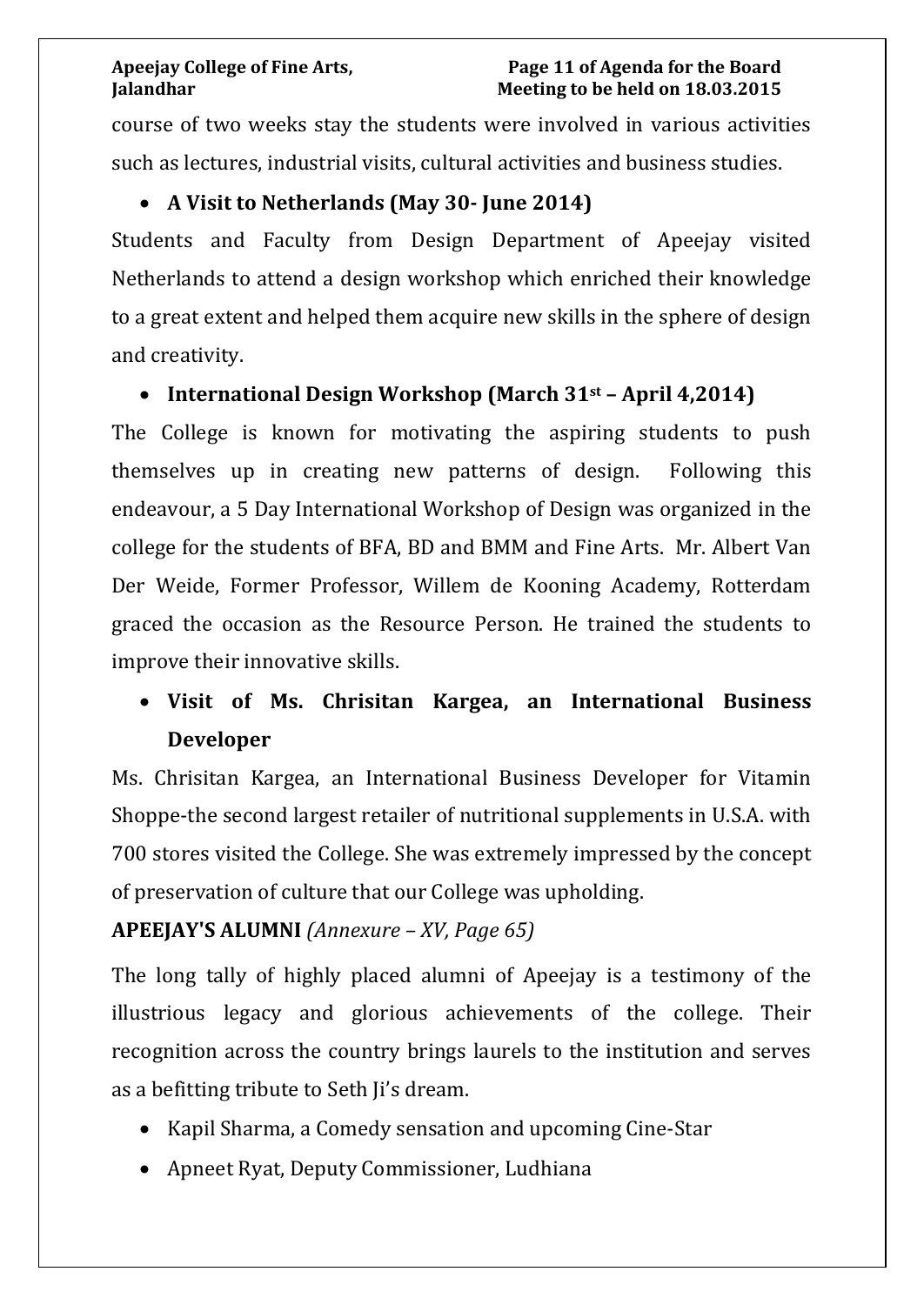#### **Apeejay College of Fine Arts, Page 11 of Agenda for the Board Jalandhar Meeting to be held on 18.03.2015**

course of two weeks stay the students were involved in various activities such as lectures, industrial visits, cultural activities and business studies.

#### • **A Visit to Netherlands (May 30- June 2014)**

Students and Faculty from Design Department of Apeejay visited Netherlands to attend a design workshop which enriched their knowledge to a great extent and helped them acquire new skills in the sphere of design and creativity.

### • **International Design Workshop (March 31st – April 4,2014)**

The College is known for motivating the aspiring students to push themselves up in creating new patterns of design. Following this endeavour, a 5 Day International Workshop of Design was organized in the college for the students of BFA, BD and BMM and Fine Arts. Mr. Albert Van Der Weide, Former Professor, Willem de Kooning Academy, Rotterdam graced the occasion as the Resource Person. He trained the students to improve their innovative skills.

# • **Visit of Ms. Chrisitan Kargea, an International Business Developer**

Ms. Chrisitan Kargea, an International Business Developer for Vitamin Shoppe-the second largest retailer of nutritional supplements in U.S.A. with 700 stores visited the College. She was extremely impressed by the concept of preservation of culture that our College was upholding.

### **APEEJAY'S ALUMNI** *(Annexure – XV, Page 65)*

The long tally of highly placed alumni of Apeejay is a testimony of the illustrious legacy and glorious achievements of the college. Their recognition across the country brings laurels to the institution and serves as a befitting tribute to Seth Ji's dream.

- Kapil Sharma, a Comedy sensation and upcoming Cine-Star
- Apneet Ryat, Deputy Commissioner, Ludhiana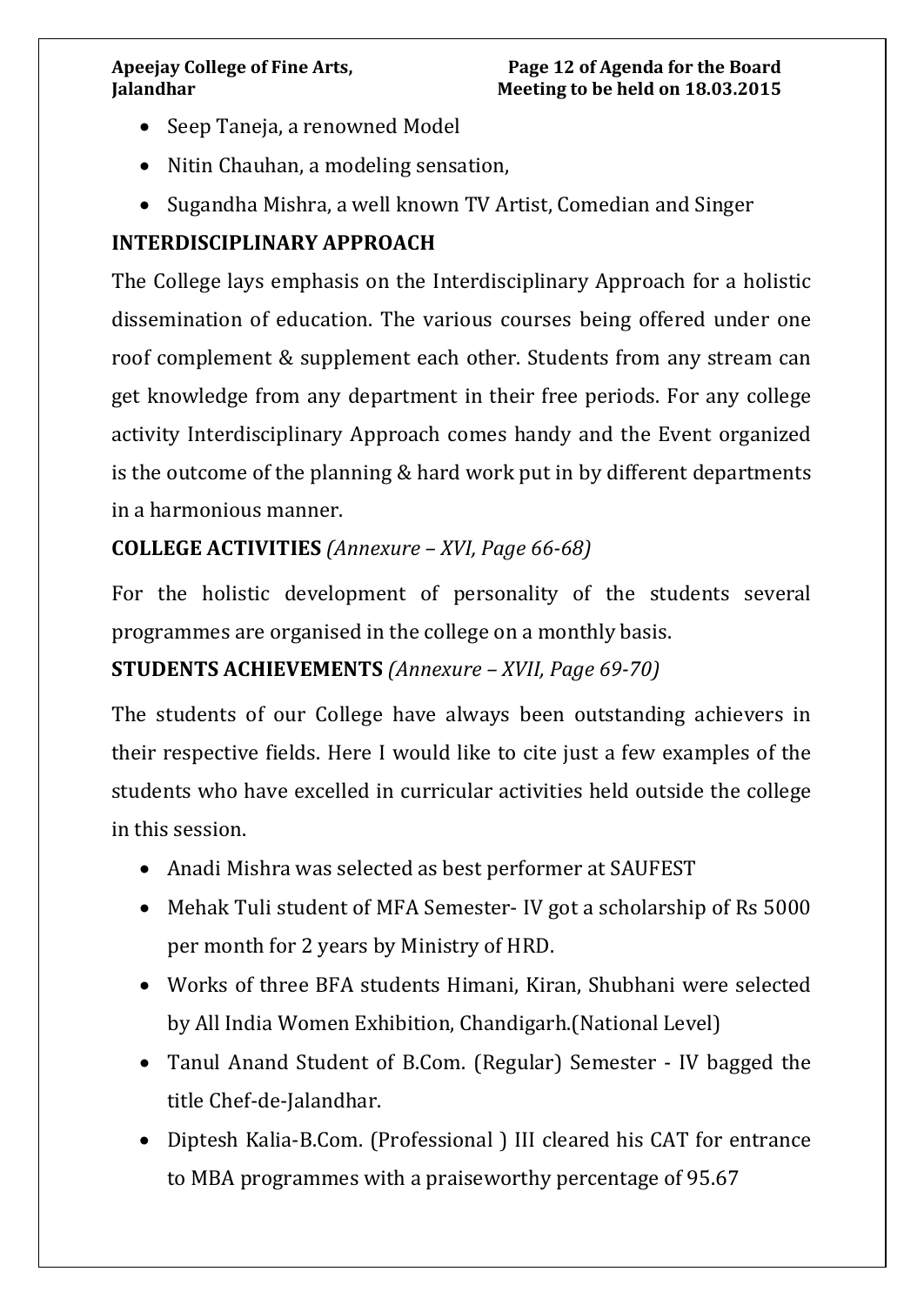#### **Apeejay College of Fine Arts, Page 12 of Agenda for the Board Jalandhar Meeting to be held on 18.03.2015**

- Seep Taneja, a renowned Model
- Nitin Chauhan, a modeling sensation,
- Sugandha Mishra, a well known TV Artist, Comedian and Singer

### **INTERDISCIPLINARY APPROACH**

The College lays emphasis on the Interdisciplinary Approach for a holistic dissemination of education. The various courses being offered under one roof complement & supplement each other. Students from any stream can get knowledge from any department in their free periods. For any college activity Interdisciplinary Approach comes handy and the Event organized is the outcome of the planning & hard work put in by different departments in a harmonious manner.

#### **COLLEGE ACTIVITIES** *(Annexure – XVI, Page 66-68)*

For the holistic development of personality of the students several programmes are organised in the college on a monthly basis.

### **STUDENTS ACHIEVEMENTS** *(Annexure – XVII, Page 69-70)*

The students of our College have always been outstanding achievers in their respective fields. Here I would like to cite just a few examples of the students who have excelled in curricular activities held outside the college in this session.

- Anadi Mishra was selected as best performer at SAUFEST
- Mehak Tuli student of MFA Semester- IV got a scholarship of Rs 5000 per month for 2 years by Ministry of HRD.
- Works of three BFA students Himani, Kiran, Shubhani were selected by All India Women Exhibition, Chandigarh.(National Level)
- Tanul Anand Student of B.Com. (Regular) Semester IV bagged the title Chef-de-Jalandhar.
- Diptesh Kalia-B.Com. (Professional ) III cleared his CAT for entrance to MBA programmes with a praiseworthy percentage of 95.67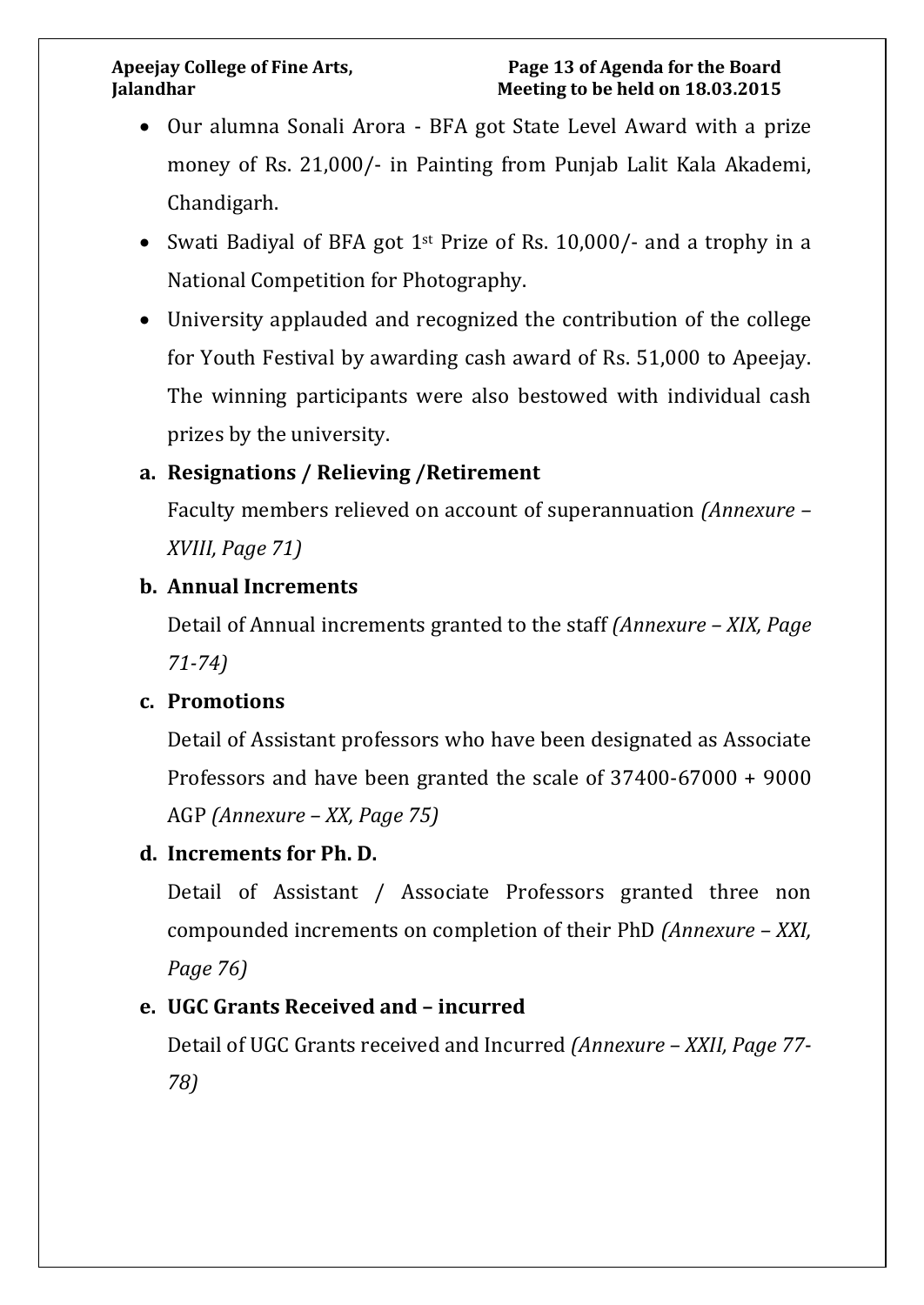- Our alumna Sonali Arora BFA got State Level Award with a prize money of Rs. 21,000/- in Painting from Punjab Lalit Kala Akademi, Chandigarh.
- Swati Badiyal of BFA got 1<sup>st</sup> Prize of Rs. 10,000/- and a trophy in a National Competition for Photography.
- University applauded and recognized the contribution of the college for Youth Festival by awarding cash award of Rs. 51,000 to Apeejay. The winning participants were also bestowed with individual cash prizes by the university.

# **a. Resignations / Relieving /Retirement**

Faculty members relieved on account of superannuation *(Annexure – XVIII, Page 71)*

### **b. Annual Increments**

Detail of Annual increments granted to the staff *(Annexure – XIX, Page 71-74)*

### **c. Promotions**

Detail of Assistant professors who have been designated as Associate Professors and have been granted the scale of 37400-67000 + 9000 AGP *(Annexure – XX, Page 75)*

### **d. Increments for Ph. D.**

Detail of Assistant / Associate Professors granted three non compounded increments on completion of their PhD *(Annexure – XXI, Page 76)*

### **e. UGC Grants Received and – incurred**

Detail of UGC Grants received and Incurred *(Annexure – XXII, Page 77- 78)*